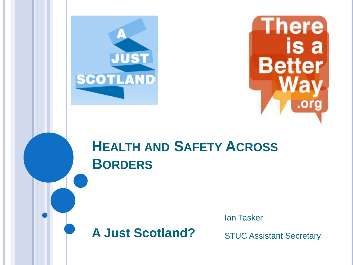



#### **HEALTH AND SAFETY ACROSS BORDERS**

# **A Just Scotland?**

Ian Tasker

STUC Assistant Secretary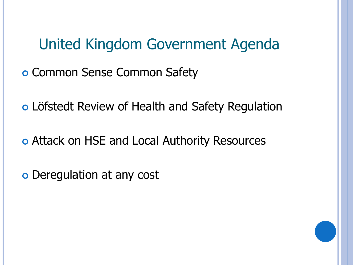United Kingdom Government Agenda

o Common Sense Common Safety

Löfstedt Review of Health and Safety Regulation

o Attack on HSE and Local Authority Resources

o Deregulation at any cost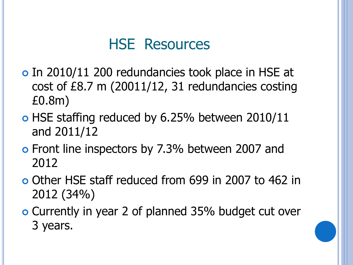#### HSE Resources

- o In 2010/11 200 redundancies took place in HSE at cost of £8.7 m (20011/12, 31 redundancies costing £0.8m)
- o HSE staffing reduced by 6.25% between 2010/11 and 2011/12
- o Front line inspectors by 7.3% between 2007 and 2012
- Other HSE staff reduced from 699 in 2007 to 462 in 2012 (34%)
- Currently in year 2 of planned 35% budget cut over 3 years.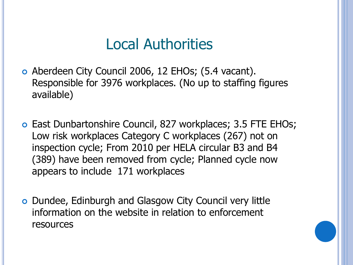#### Local Authorities

- Aberdeen City Council 2006, 12 EHOs; (5.4 vacant). Responsible for 3976 workplaces. (No up to staffing figures available)
- East Dunbartonshire Council, 827 workplaces; 3.5 FTE EHOs; Low risk workplaces Category C workplaces (267) not on inspection cycle; From 2010 per HELA circular B3 and B4 (389) have been removed from cycle; Planned cycle now appears to include 171 workplaces
- Dundee, Edinburgh and Glasgow City Council very little information on the website in relation to enforcement resources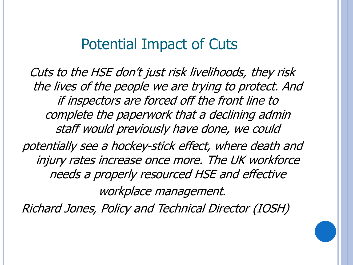#### Potential Impact of Cuts

Cuts to the HSE don't just risk livelihoods, they risk the lives of the people we are trying to protect. And if inspectors are forced off the front line to complete the paperwork that a declining admin staff would previously have done, we could

potentially see a hockey-stick effect, where death and injury rates increase once more. The UK workforce needs a properly resourced HSE and effective

workplace management.

Richard Jones, Policy and Technical Director (IOSH)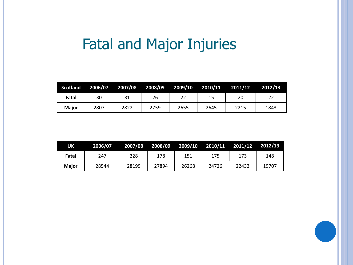# Fatal and Major Injuries

| <b>Scotland</b> | 2006/07 | 2007/08 | 2008/09 | 2009/10 | 2010/11 | 2011/12 | 2012/13 |
|-----------------|---------|---------|---------|---------|---------|---------|---------|
| Fatal           | 30      | 31      | 26      |         | 15      | 20      | 22      |
| <b>Maior</b>    | 2807    | 2822    | 2759    | 2655    | 2645    | 2215    | 1843    |

| UK    | 2006/07 | 2007/08 | 2008/09 | 2009/10 2010/11 2011/12 |       |       | 2012/13 |
|-------|---------|---------|---------|-------------------------|-------|-------|---------|
| Fatal | 247     | 228     | 178     | 151                     | 175   | 173   | 148     |
| Maior | 28544   | 28199   | 27894   | 26268                   | 24726 | 22433 | 19707   |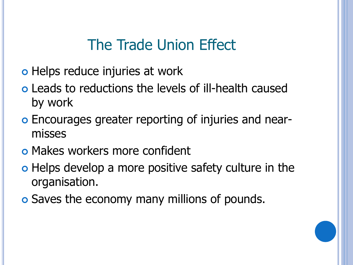## The Trade Union Effect

- o Helps reduce injuries at work
- Leads to reductions the levels of ill-health caused by work
- Encourages greater reporting of injuries and nearmisses
- o Makes workers more confident
- o Helps develop a more positive safety culture in the organisation.
- **o** Saves the economy many millions of pounds.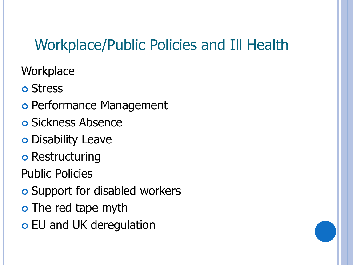# Workplace/Public Policies and Ill Health

**Workplace** 

**o** Stress

- o Performance Management
- **o** Sickness Absence
- Disability Leave
- o Restructuring

Public Policies

- **o** Support for disabled workers
- o The red tape myth
- EU and UK deregulation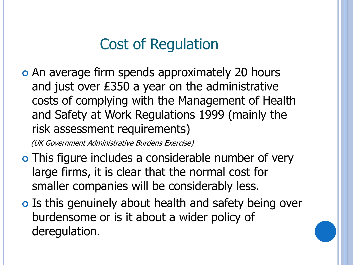# Cost of Regulation

o An average firm spends approximately 20 hours and just over £350 a year on the administrative costs of complying with the Management of Health and Safety at Work Regulations 1999 (mainly the risk assessment requirements)

(UK Government Administrative Burdens Exercise)

- o This figure includes a considerable number of very large firms, it is clear that the normal cost for smaller companies will be considerably less.
- o Is this genuinely about health and safety being over burdensome or is it about a wider policy of deregulation.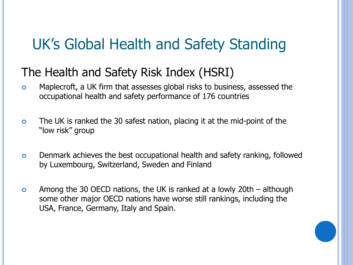## UK's Global Health and Safety Standing

#### The Health and Safety Risk Index (HSRI)

- Maplecroft, a UK firm that assesses global risks to business, assessed the occupational health and safety performance of 176 countries
- The UK is ranked the 30 safest nation, placing it at the mid-point of the "low risk" group
- Denmark achieves the best occupational health and safety ranking, followed by Luxembourg, Switzerland, Sweden and Finland
- Among the 30 OECD nations, the UK is ranked at a lowly 20th although some other major OECD nations have worse still rankings, including the USA, France, Germany, Italy and Spain.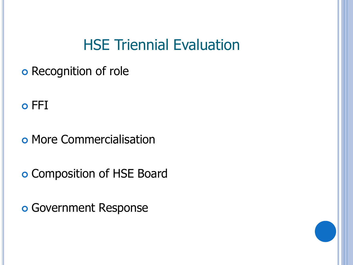#### HSE Triennial Evaluation

**o** Recognition of role

o FFI

o More Commercialisation

o Composition of HSE Board

Government Response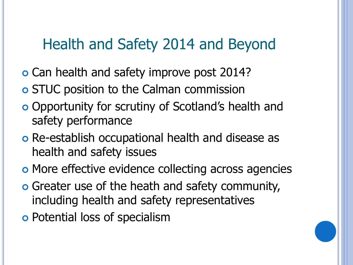## Health and Safety 2014 and Beyond

- **o** Can health and safety improve post 2014?
- STUC position to the Calman commission
- Opportunity for scrutiny of Scotland's health and safety performance
- Re-establish occupational health and disease as health and safety issues
- o More effective evidence collecting across agencies
- Greater use of the heath and safety community, including health and safety representatives
- Potential loss of specialism